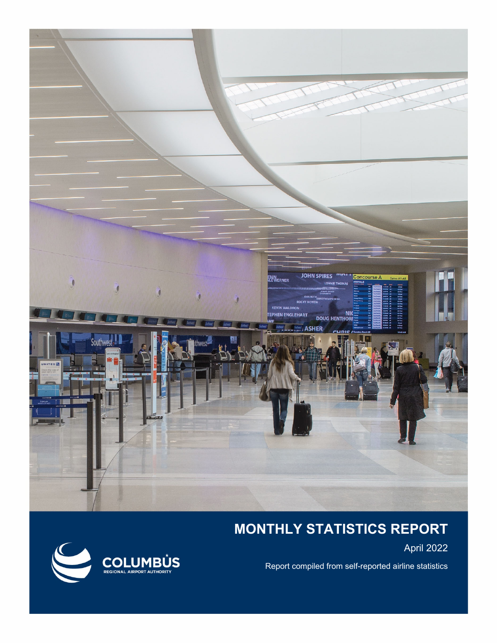

## **MONTHLY STATISTICS REPORT**

April 2022

Report compiled from self-reported airline statistics

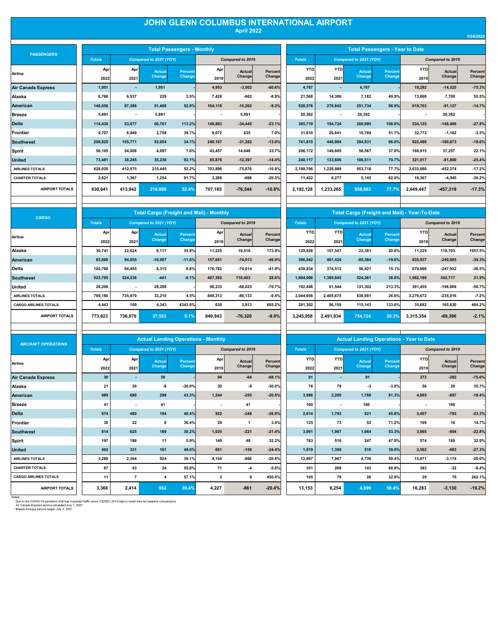## **JOHN GLENN COLUMBUS INTERNATIONAL AIRPORT April 2022**

| <b>PASSENGERS</b>         |
|---------------------------|
| Airline                   |
| <b>Air Canada Express</b> |
| Alaska                    |
| American                  |
| <b>Breeze</b>             |
| <b>Delta</b>              |
| <b>Frontier</b>           |
| <b>Southwest</b>          |
| Spirit                    |
| <b>United</b>             |
| <b>AIRLINES TOTALS</b>    |
| <b>CHARTER TOTALS</b>     |
|                           |

| <b>PASSENGERS</b>      |               |                          |                        | <b>Total Passengers - Monthly</b> |                          |                  |          | <b>Total Passengers - Year to Date</b> |                          |               |               |           |                  |          |  |
|------------------------|---------------|--------------------------|------------------------|-----------------------------------|--------------------------|------------------|----------|----------------------------------------|--------------------------|---------------|---------------|-----------|------------------|----------|--|
|                        | <b>Totals</b> |                          | Compared to 2021 (YOY) |                                   |                          | Compared to 2019 |          |                                        | Compared to 2021 (YOY)   |               |               |           | Compared to 2019 |          |  |
| Airline                | Apr           | Apr                      | Actual                 | <b>Percent</b>                    | Apr                      | Actual           | Percent  | <b>YTD</b>                             | <b>YTD</b>               | <b>Actual</b> | Percent       | YTD       | Actual           | Percent  |  |
|                        | 2022          | 2021                     | Change                 | Change                            | 2019                     | Change           | Changel  | 2022                                   | 2021                     | Change        | <b>Change</b> | 2019      | Change           | Change   |  |
| Air Canada Express     | 1,951         | $\sim$                   | 1,951                  |                                   | 4,953                    | $-3,002$         | $-60.6%$ | 4,767                                  | $\overline{\phantom{a}}$ | 4,767         |               | 19,292    | $-14,525$        | $-75.3%$ |  |
| Alaska                 | 6.766         | 6,537                    | 229                    | 3.5%                              | 7.428                    | $-662$           | $-8.9%$  | 21,568                                 | 14,386                   | 7,182         | 49.9%         | 13,868    | 7,700            | 55.5%    |  |
| <b>American</b>        | 148.856       | 97.388                   | 51.468                 | 52.8%                             | 164.118                  | $-15.262$        | $-9.3%$  | 528,576                                | 276,842                  | 251.734       | 90.9%         | 619,703   | $-91,127$        | $-14.7%$ |  |
| <b>Breeze</b>          | 5,891         | $\overline{\phantom{a}}$ | 5,891                  |                                   | $\overline{\phantom{a}}$ | 5,891            |          | 20,362                                 | $\overline{\phantom{a}}$ | 20,362        |               | ٠         | 20,362           |          |  |
| <b>Delta</b>           | 114,438       | 53.677                   | 60.761                 | 113.2%                            | 148,883                  | $-34,445$        | $-23.1%$ | 385,719                                | 184.724                  | 200,995       | 108.8%        | 534,125   | $-148,406$       | $-27.8%$ |  |
| Frontier               | 9.707         | 6.949                    | 2,758                  | 39.7%                             | 9,072                    | 635              | 7.0%     | 31,610                                 | 20,841                   | 10,769        | 51.7%         | 32,772    | $-1,162$         | $-3.5%$  |  |
| <b>Southwest</b>       | 208.825       | 155.771                  | 53.054                 | 34.1%                             | 240.107                  | $-31.282$        | $-13.0%$ | 741.815                                | 446.984                  | 294.831       | 66.0%         | 922.488   | $-180,673$       | $-19.6%$ |  |
| Spirit                 | 58.105        | 54.008                   | 4.097                  | 7.6%                              | 43.457                   | 14.648           | 33.7%    | 206,172                                | 149.605                  | 56.567        | 37.8%         | 168.915   | 37,257           | 22.1%    |  |
| <b>United</b>          | 73.481        | 38.245                   | 35.236                 | 92.1%                             | 85,878                   | $-12.397$        | $-14.4%$ | 240.117                                | 133.606                  | 106.511       | 79.7%         | 321.917   | $-81,800$        | $-25.4%$ |  |
| <b>AIRLINES TOTALS</b> | 628.020       | 412.575                  | 215,445                | 52.2%                             | 703.896                  | $-75.876$        | $-10.8%$ | 2,180,706                              | 1.226.988                | 953.718       | 77.7%         | 2,633,080 | $-452,374$       | $-17.2%$ |  |
| <b>CHARTER TOTALS</b>  | 2,621         | 1,367                    | 1,254                  | 91.7%                             | 3,289                    | $-668$           | $-20.3%$ | 11,422                                 | 6,277                    | 5,145         | 82.0%         | 16,367    | $-4,945$         | $-30.2%$ |  |
| <b>AIRPORT TOTALS</b>  | 630,641       | 413,942                  | 216,699                | 52.4%                             | 707,185                  | $-76,544$        | $-10.8%$ | 2,192,128                              | 1,233,265                | 958,863       | 77.7%         | 2.649.447 | $-457,319$       | $-17.3%$ |  |
|                        |               |                          |                        |                                   |                          |                  |          |                                        |                          |               |               |           |                  |          |  |
|                        |               |                          |                        |                                   |                          |                  |          |                                        |                          |               |               |           |                  |          |  |

|               | <b>Total Passengers - Monthly</b> |         |                         |          | <b>Total Passengers - Year to Date</b> |            |                        |                |                  |               |          |  |  |  |  |  |
|---------------|-----------------------------------|---------|-------------------------|----------|----------------------------------------|------------|------------------------|----------------|------------------|---------------|----------|--|--|--|--|--|
| to 2021 (YOY) |                                   |         | <b>Compared to 2019</b> |          | <b>Totals</b>                          |            | Compared to 2021 (YOY) |                | Compared to 2019 |               |          |  |  |  |  |  |
| <b>Actual</b> | <b>Percent</b>                    | Apr     | <b>Actual</b>           | Percent  | <b>YTD</b>                             | <b>YTD</b> | <b>Actual</b>          | <b>Percent</b> | <b>YTD</b>       | <b>Actual</b> | Percent  |  |  |  |  |  |
| <b>Change</b> | Change,                           | 2019    | Change                  | Change   | 2022                                   | 2021       | Change,                | Change         | 2019             | Change        | Changel  |  |  |  |  |  |
| 1,951         |                                   | 4,953   | $-3,002$                | $-60.6%$ | 4,767                                  |            | 4,767                  |                | 19,292           | $-14,525$     | $-75.3%$ |  |  |  |  |  |
| 229           | 3.5%                              | 7,428   | $-662$                  | $-8.9%$  | 21,568                                 | 14,386     | 7,182                  | 49.9%          | 13,868           | 7,700         | 55.5%    |  |  |  |  |  |
| 51,468        | 52.8%                             | 164,118 | $-15,262$               | $-9.3%$  | 528,576                                | 276,842    | 251,734                | 90.9%          | 619,703          | $-91,127$     | $-14.7%$ |  |  |  |  |  |
| 5,891         |                                   |         | 5,891                   |          | 20,362                                 |            | 20,362                 |                | ٠                | 20,362        |          |  |  |  |  |  |
| 60,761        | 113.2%                            | 148,883 | $-34,445$               | $-23.1%$ | 385,719                                | 184,724    | 200,995                | 108.8%         | 534.125          | $-148,406$    | $-27.8%$ |  |  |  |  |  |
| 2,758         | 39.7%                             | 9,072   | 635                     | 7.0%     | 31,610                                 | 20,841     | 10,769                 | 51.7%          | 32,772           | $-1,162$      | $-3.5%$  |  |  |  |  |  |
| 53,054        | 34.1%                             | 240,107 | $-31,282$               | $-13.0%$ | 741,815                                | 446,984    | 294,831                | 66.0%          | 922,488          | $-180,673$    | $-19.6%$ |  |  |  |  |  |
| 4.097         | 7.6%                              | 43,457  | 14,648                  | 33.7%    | 206,172                                | 149,605    | 56.567                 | 37.8%          | 168.915          | 37,257        | 22.1%    |  |  |  |  |  |
| 35,236        | 92.1%                             | 85,878  | $-12,397$               | $-14.4%$ | 240,117                                | 133,606    | 106,511                | 79.7%          | 321,917          | $-81,800$     | $-25.4%$ |  |  |  |  |  |
| 215,445       | 52.2%                             | 703,896 | $-75,876$               | $-10.8%$ | 2,180,706                              | 1,226,988  | 953,718                | 77.7%          | 2,633,080        | $-452,374$    | $-17.2%$ |  |  |  |  |  |
| 1,254         | 91.7%                             | 3,289   | -668                    | $-20.3%$ | 11,422                                 | 6,277      | 5,145                  | 82.0%          | 16,367           | $-4,945$      | $-30.2%$ |  |  |  |  |  |
| 216,699       | 52.4%                             | 707,185 | $-76,544$               | $-10.8%$ | 2,192,128                              | 1,233,265  | 958,863                | 77.7%          | 2,649,447        | $-457,319$    | $-17.3%$ |  |  |  |  |  |

| CARGO                        |               |         | <b>Total Cargo (Freight and Mail) - Monthly</b> |                |         |                  |          |            | <b>Total Cargo (Freight and Mail) - Year-To-Date</b> |           |          |                  |            |          |
|------------------------------|---------------|---------|-------------------------------------------------|----------------|---------|------------------|----------|------------|------------------------------------------------------|-----------|----------|------------------|------------|----------|
|                              | <b>Totals</b> |         | Compared to 2021 (YOY)                          |                |         | Compared to 2019 |          |            | Compared to 2021 (YOY)                               |           |          | Compared to 2019 |            |          |
| Airline                      | Apr           | Apr     | Actual                                          | <b>Percent</b> | Apr     | <b>Actual</b>    | Percent  | <b>YTD</b> | <b>YTD</b>                                           | Actual    | Percent  | <b>YTD</b>       | Actual     | Percent  |
|                              | 2022          | 2021    | <b>Change</b>                                   | Change         | 2019    | Change           | Change   | 2022       | 2021                                                 | Change    | Change   | 2019             | Change     | Change   |
| Alaska                       | 30,741        | 22,624  | 8,117                                           | 35.9%          | 11,225  | 19,516           | 173.9%   | 129,928    | 107,547                                              | 22,381    | 20.8%    | 11,225           | 118,703    | 1057.5%  |
| <b>American</b>              | 83,668        | 94,655  | $-10,987$                                       | $-11.6%$       | 157,681 | $-74,013$        | $-46.9%$ | 386,042    | 481,426                                              | $-95,384$ | $-19.8%$ | 635,937          | $-249,895$ | $-39.3%$ |
| Delta                        | 102,768       | 94,455  | 8,313                                           | 8.8%           | 176.782 | $-74,014$        | $-41.9%$ | 430,934    | 374,513                                              | 56,421    | 15.1%    | 678,866          | $-247,932$ | $-36.5%$ |
| <b>Southwest</b>             | 523,795       | 524,236 | $-441$                                          | $-0.1%$        | 407,392 | 116,403          | 28.6%    | 1,904,906  | 1,380,645                                            | 524,261   | 38.0%    | 1,562,189        | 342,717    | 21.9%    |
| United                       | 28,208        | $\sim$  | 28,208                                          |                | 96.233  | $-68,025$        | $-70.7%$ | 192,846    | 61,544                                               | 131,302   | 213.3%   | 391,455          | $-198,609$ | $-50.7%$ |
| <b>AIRLINES TOTALS</b>       | 769.180       | 735,970 | 33,210                                          | 4.5%           | 849,313 | $-80, 133$       | $-9.4%$  | 3,044,656  | 2,405,675                                            | 638,981   | 26.6%    | 3,279,672        | $-235,016$ | $-7.2%$  |
| <b>CARGO AIRLINES TOTALS</b> | 4,443         | 100     | 4,343                                           | 4343.0%        | 630     | 3,813            | 605.2%   | 201,302    | 86,159                                               | 115,143   | 133.6%   | 35,682           | 165,620    | 464.2%   |
| <b>AIRPORT TOTALS</b>        | 773,623       | 736,070 | 37,553                                          | 5.1%           | 849,943 | $-76,320$        | $-9.0%$  | 3,245,958  | 2,491,834                                            | 754,124   | 30.3%    | 3,315,354        | $-69,396$  | $-2.1%$  |
|                              |               |         |                                                 |                |         |                  |          |            |                                                      |           |          |                  |            |          |

|               |            | <b>Total Cargo (Freight and Mail) - Year-To-Date</b> |                |                  |            |          |  |  |  |
|---------------|------------|------------------------------------------------------|----------------|------------------|------------|----------|--|--|--|
| <b>Totals</b> |            | Compared to 2021 (YOY)                               |                | Compared to 2019 |            |          |  |  |  |
| <b>YTD</b>    | <b>YTD</b> | <b>Actual</b>                                        | <b>Percent</b> | <b>YTD</b>       | Actual     | Percent  |  |  |  |
| 2022          | 2021       | Change                                               | <b>Change</b>  | 2019             | Change     | Change   |  |  |  |
| 129,928       | 107,547    | 22,381                                               | 20.8%          | 11,225           | 118,703    | 1057.5%  |  |  |  |
| 386,042       | 481,426    | $-95,384$                                            | $-19.8%$       | 635,937          | $-249,895$ | $-39.3%$ |  |  |  |
| 430,934       | 374,513    | 56.421                                               | 15.1%          | 678,866          | $-247,932$ | $-36.5%$ |  |  |  |
| 1,904,906     | 1,380,645  | 524,261                                              | 38.0%          | 1,562,189        | 342,717    | 21.9%    |  |  |  |
| 192,846       | 61,544     | 131,302                                              | 213.3%         | 391,455          | $-198,609$ | $-50.7%$ |  |  |  |
| 3,044,656     | 2,405,675  | 638,981                                              | 26.6%          | 3,279,672        | $-235,016$ | $-7.2%$  |  |  |  |
| 201,302       | 86,159     | 115.143                                              | 133.6%         | 35,682           | 165,620    | 464.2%   |  |  |  |
| 3,245,958     | 2.491.834  | 754.124                                              | 30.3%          | 3,315,354        | $-69,396$  | $-2.1%$  |  |  |  |

| <b>AIRCRAFT OPERATIONS</b>   |               |                          | <b>Actual Landing Operations - Monthly</b> |                |                |                         |          | <b>Actual Landing Operations - Year to Date</b> |                          |                        |               |                  |          |          |
|------------------------------|---------------|--------------------------|--------------------------------------------|----------------|----------------|-------------------------|----------|-------------------------------------------------|--------------------------|------------------------|---------------|------------------|----------|----------|
|                              | <b>Totals</b> |                          | Compared to 2021 (YOY)                     |                |                | <b>Compared to 2019</b> |          | <b>Totals</b>                                   |                          | Compared to 2021 (YOY) |               | Compared to 2019 |          |          |
| Airline                      | Apr           | Apr                      | Actual                                     | <b>Percent</b> | Apr            | Actual                  | Percent  | <b>YTD</b>                                      | <b>YTD</b>               | <b>Actual</b>          | Percent       | YTD              | Actual   | Percent  |
|                              | 2022          | 2021                     | Change                                     | Change         | 2019           | Changel                 | Change   | 2022                                            | 2021                     | Change                 | <b>Change</b> | 2019             | Change   | Change   |
| <b>Air Canada Express</b>    | 30            | $\overline{\phantom{a}}$ | 30                                         |                | 94             | $-64$                   | $-68.1%$ | 91                                              | $\overline{\phantom{0}}$ | 91                     |               | 373              | $-282$   | $-75.6%$ |
| Alaska                       | 21            | 30                       | -9                                         | $-30.0%$       | 30             | -9                      | $-30.0%$ | 76                                              | 79                       | $-3$                   | $-3.8%$       | 56               | 20       | 35.7%    |
| American                     | 989           | 690                      | 299                                        | 43.3%          | 1,244          | $-255$                  | $-20.5%$ | 3,988                                           | 2,200                    | 1,788                  | 81.3%         | 4,885            | $-897$   | $-18.4%$ |
| Breeze                       | 41            | $\overline{\phantom{a}}$ | 41                                         |                |                | 41                      |          | 160                                             |                          | 160                    |               |                  | 160      |          |
| <b>Delta</b>                 | 674           | 480                      | 194                                        | 40.4%          | 922            | $-248$                  | $-26.9%$ | 2,614                                           | 1,793                    | 821                    | 45.8%         | 3.407            | $-793$   | $-23.3%$ |
| Frontier                     | 30            | 22                       | 8                                          | 36.4%          | 29             | -1                      | 3.4%     | 125                                             | 73                       | 52                     | 71.2%         | 109              | 16       | 14.7%    |
| <b>Southwest</b>             | 814           | 625                      | 189                                        | 30.2%          | 1,035          | $-221$                  | $-21.4%$ | 3,061                                           | 1,997                    | 1,064                  | 53.3%         | 3.965            | $-904$   | $-22.8%$ |
| Spirit                       | 197           | 186                      | 11                                         | 5.9%           | 149            | 48                      | 32.2%    | 763                                             | 516                      | 247                    | 47.9%         | 574              | 189      | 32.9%    |
| <b>United</b>                | 492           | 331                      | 161                                        | 48.6%          | 651            | $-159$                  | $-24.4%$ | 1,819                                           | 1,309                    | 510                    | 39.0%         | 2,502            | $-683$   | $-27.3%$ |
| <b>AIRLINES TOTALS</b>       | 3.288         | 2,364                    | 924                                        | 39.1%          | 4,154          | $-866$                  | $-20.8%$ | 12.697                                          | 7,967                    | 4,730                  | 59.4%         | 15,871           | $-3,174$ | $-20.0%$ |
| <b>CHARTER TOTALS</b>        | 67            | 43                       | 24                                         | 55.8%          | 71             | $-4$                    | $-5.6%$  | 351                                             | 208                      | 143                    | 68.8%         | 383              | $-32$    | $-8.4%$  |
| <b>CARGO AIRLINES TOTALS</b> | 11            | $\overline{7}$           | Δ                                          | 57.1%          | $\overline{2}$ | 9                       | 450.0%   | 105                                             | 79                       | 26                     | 32.9%         | 29               | 76       | 262.1%   |
| <b>AIRPORT TOTALS</b>        | 3,366         | 2,414                    | 952                                        | 39.4%          | 4,227          | $-861$                  | $-20.4%$ | 13,153                                          | 8,254                    | 4,899                  | 59.4%         | 16,283           | $-3,130$ | $-19.2%$ |

|    |               |            | <b>Actual Landing Operations - Year to Date</b> |                |            |                  |          |
|----|---------------|------------|-------------------------------------------------|----------------|------------|------------------|----------|
|    | <b>Totals</b> |            | Compared to 2021 (YOY)                          |                |            | Compared to 2019 |          |
| nt | <b>YTD</b>    | <b>YTD</b> | Actual                                          | <b>Percent</b> | <b>YTD</b> | <b>Actual</b>    | Percent  |
| Įе | 2022          | 2021       | Change                                          | Change         | 2019       | Change           | Change   |
| %  | 91            |            | 91                                              |                | 373        | $-282$           | $-75.6%$ |
| %  | 76            | 79         | $-3$                                            | $-3.8%$        | 56         | 20               | 35.7%    |
| %  | 3,988         | 2,200      | 1,788                                           | 81.3%          | 4,885      | $-897$           | $-18.4%$ |
| п, | 160           |            | 160                                             |                |            | 160              |          |
| %  | 2,614         | 1,793      | 821                                             | 45.8%          | 3,407      | $-793$           | $-23.3%$ |
| %  | 125           | 73         | 52                                              | 71.2%          | 109        | 16               | 14.7%    |
| %  | 3,061         | 1,997      | 1,064                                           | 53.3%          | 3,965      | $-904$           | $-22.8%$ |
| %  | 763           | 516        | 247                                             | 47.9%          | 574        | 189              | 32.9%    |
| %  | 1,819         | 1,309      | 510                                             | 39.0%          | 2,502      | $-683$           | $-27.3%$ |
| ℅  | 12,697        | 7,967      | 4,730                                           | 59.4%          | 15,871     | $-3,174$         | $-20.0%$ |
| %  | 351           | 208        | 143                                             | 68.8%          | 383        | $-32$            | $-8.4%$  |
| %  | 105           | 79         | 26                                              | 32.9%          | 29         | 76               | 262.1%   |
| ℅  | 13,153        | 8,254      | 4,899                                           | 59.4%          | 16,283     | $-3,130$         | $-19.2%$ |
|    |               |            |                                                 |                |            |                  |          |

Notes:<br>Due to the COVID-19 pandemic that has impacted traffic since 1Q2020, 2019 data is noted here for baseline comparisons<br>Air Canada Express service began July 3, 2021<br>Breeze Airways service began July 3, 2021

 $\overline{\phantom{a}}$ 

**5/24/2022**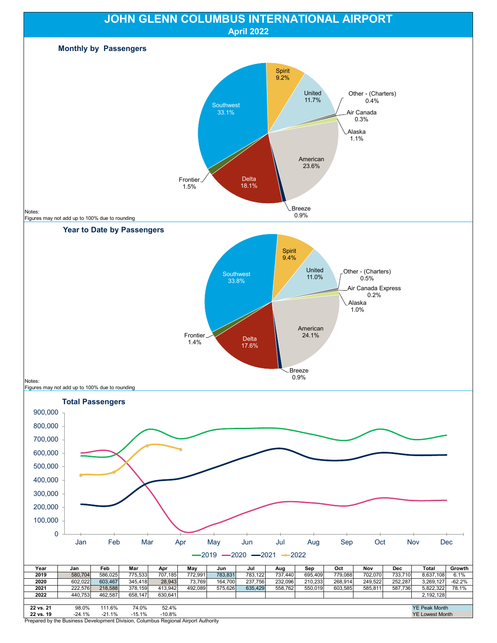

Prepared by the Business Development Division, Columbus Regional Airport Authority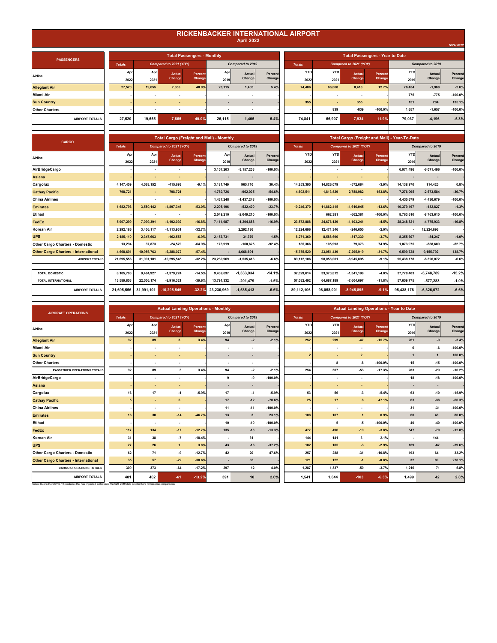## **RICKENBACKER INTERNATIONAL AIRPORT**

|  | <b>April 2022</b> |  |
|--|-------------------|--|
|  |                   |  |
|  |                   |  |

|                                             |               |                          |                                                 |                                   |                          |                          |                   |                                        |                          |                                                 |                   |                                               |                          | 5/24/2022         |  |
|---------------------------------------------|---------------|--------------------------|-------------------------------------------------|-----------------------------------|--------------------------|--------------------------|-------------------|----------------------------------------|--------------------------|-------------------------------------------------|-------------------|-----------------------------------------------|--------------------------|-------------------|--|
|                                             |               |                          |                                                 | <b>Total Passengers - Monthly</b> |                          |                          |                   | <b>Total Passengers - Year to Date</b> |                          |                                                 |                   |                                               |                          |                   |  |
| <b>PASSENGERS</b>                           | <b>Totals</b> |                          | Compared to 2021 (YOY)                          |                                   |                          | Compared to 2019         |                   | <b>Totals</b>                          |                          | Compared to 2021 (YOY)                          |                   |                                               | Compared to 2019         |                   |  |
| Airline                                     | Apr<br>2022   | Apr<br>2021              | <b>Actual</b><br>Change                         | Percent<br>Change                 | Apr<br>2019              | Actual<br>Change         | Percent<br>Change | <b>YTD</b><br>2022                     | <b>YTD</b><br>2021       | <b>Actual</b><br>Change                         | Percent<br>Change | <b>YTD</b><br>2019                            | Actual<br>Change         | Percent<br>Change |  |
| <b>Allegiant Air</b>                        | 27,520        | 19,655                   | 7,865                                           | 40.0%                             | 26,115                   | 1,405                    | 5.4%              | 74,486                                 | 66,068                   | 8,418                                           | 12.7%             | 76,454                                        | $-1,968$                 | $-2.6%$           |  |
| Miami Air                                   |               |                          |                                                 |                                   |                          |                          |                   |                                        |                          | ۰.                                              |                   | 775                                           | $-775$                   | $-100.0%$         |  |
| <b>Sun Country</b>                          |               |                          | ÷.                                              |                                   |                          |                          |                   | 355                                    | ÷,                       | 355                                             |                   | 151                                           | 204                      | 135.1%            |  |
| <b>Other Charters</b>                       |               | $\overline{\phantom{a}}$ | $\overline{\phantom{a}}$                        |                                   | $\overline{\phantom{a}}$ | $\overline{\phantom{a}}$ |                   |                                        | 839                      | $-839$                                          | $-100.0%$         | 1,657                                         | $-1,657$                 | $-100.0%$         |  |
| <b>AIRPORT TOTALS</b>                       | 27,520        | 19,655                   | 7,865                                           | 40.0%                             | 26,115                   | 1,405                    | 5.4%              | 74,841                                 | 66,907                   | 7,934                                           | 11.9%             | 79,037                                        | $-4,196$                 | $-5.3%$           |  |
|                                             |               |                          |                                                 |                                   |                          |                          |                   |                                        |                          |                                                 |                   |                                               |                          |                   |  |
|                                             |               |                          | <b>Total Cargo (Freight and Mail) - Monthly</b> |                                   |                          |                          |                   |                                        |                          |                                                 |                   | Total Cargo (Freight and Mail) - Year-To-Date |                          |                   |  |
| CARGO                                       | <b>Totals</b> |                          | Compared to 2021 (YOY)                          |                                   |                          | Compared to 2019         |                   | <b>Totals</b>                          |                          | Compared to 2021 (YOY)                          |                   |                                               | Compared to 2019         |                   |  |
| Airline                                     | Apr<br>2022   | Apr<br>2021              | <b>Actual</b><br>Change                         | Percent<br>Change                 | Apr<br>2019              | Actual<br>Change         | Percent<br>Change | <b>YTD</b><br>2022                     | <b>YTD</b><br>2021       | Actual<br>Change                                | Percen<br>Change  | <b>YTD</b><br>2019                            | Actual<br>Change         | Percent<br>Change |  |
| AirBridgeCargo                              |               | $\cdot$                  | ÷,                                              |                                   | 3, 157, 203              | $-3, 157, 203$           | $-100.0%$         |                                        | ÷,                       | $\cdot$                                         |                   | 6,071,496                                     | $-6,071,496$             | $-100.0%$         |  |
| Asiana                                      |               | ×.                       | $\blacksquare$                                  |                                   | $\overline{\phantom{a}}$ |                          |                   |                                        | ×.                       | ÷.                                              |                   | ÷                                             | $\overline{\phantom{a}}$ |                   |  |
| Cargolux                                    | 4,147,459     | 4,563,152                | $-415,693$                                      | $-9.1%$                           | 3,181,749                | 965,710                  | 30.4%             | 14,253,395                             | 14,826,079               | $-572,684$                                      | $-3.9%$           | 14,138,970                                    | 114,425                  | 0.8%              |  |
| <b>Cathay Pacific</b>                       | 798,721       | ٠                        | 798.721                                         |                                   | 1,760,726                | $-962,005$               | $-54.6%$          | 4,602,511                              | 1,813,529                | 2,788,982                                       | 153.8%            | 7,276,095                                     | $-2,673,584$             | $-36.7%$          |  |
| <b>China Airlines</b>                       |               | $\overline{\phantom{a}}$ | $\overline{\phantom{a}}$                        |                                   | 1,437,248                | $-1,437,248$             | $-100.0%$         |                                        | $\blacksquare$           | $\sim$                                          |                   | 4,430,679                                     | $-4,430,679$             | $-100.0%$         |  |
| <b>Emirates</b>                             | 1,682,796     | 3,580,142                | $-1,897,346$                                    | $-53.0%$                          | 2,205,196                | $-522,400$               | $-23.7%$          | 10,246,370                             | 11,862,415               | $-1,616,045$                                    | $-13.6%$          | 10,379,197                                    | $-132,827$               | $-1.3%$           |  |
| <b>Etihad</b>                               |               | $\overline{\phantom{a}}$ | $\overline{\phantom{a}}$                        |                                   | 2,049,210                | $-2,049,210$             | $-100.0%$         |                                        | 662,381                  | $-662,381$                                      | $-100.0%$         | 8,763,610                                     | $-8,763,610$             | $-100.0%$         |  |
| FedEx                                       | 5,907,299     | 7.099.391                | $-1,192,092$                                    | $-16.8%$                          | 7,111,987                | $-1,204,688$             | $-16.9%$          | 23,572,888                             | 24,676,129               | $-1,103,241$                                    | $-4.5%$           | 28,348,821                                    | $-4,775,933$             | $-16.8%$          |  |
| Korean Air                                  | 2,292,186     | 3,406,117                | $-1, 113, 931$                                  | $-32.7%$                          | $\sim$                   | 2,292,186                |                   | 12,224,696                             | 12,471,346               | $-246,650$                                      | $-2.0%$           | $\sim$                                        | 12,224,696               |                   |  |
| <b>UPS</b>                                  | 2,185,110     | 2,347,663                | $-162,553$                                      | $-6.9%$                           | 2,153,731                | 31,379                   | 1.5%              | 8,271,360                              | 8,588,690                | $-317,330$                                      | $-3.7%$           | 8,355,607                                     | $-84,247$                | $-1.0%$           |  |
| <b>Other Cargo Charters - Domestic</b>      | 13,294        | 37,873                   | $-24,579$                                       | $-64.9%$                          | 173,919                  | $-160,625$               | $-92.4%$          | 185,366                                | 105,993                  | 79,373                                          | 74.9%             | 1,073,975                                     | $-888,609$               | $-82.7%$          |  |
| <b>Other Cargo Charters - International</b> | 4,668,691     | 10,956,763               | $-6,288,072$                                    | $-57.4%$                          | $\sim$                   | 4,668,691                |                   | 15,755,520                             | 23,051,439               | $-7,295,919$                                    | $-31.7%$          | 6,599,728                                     | 9,155,792                | 138.7%            |  |
| AIRPORT TOTALS                              | 21,695,556    | 31,991,101               | $-10,295,545$                                   | $-32.2%$                          | 23,230,969               | $-1,535,413$             | $-6.6%$           | 89,112,106                             | 98,058,001               | $-8,945,895$                                    | $-9.1%$           | 95,438,178                                    | $-6,326,072$             | $-6.6%$           |  |
| <b>TOTAL DOMESTIC</b>                       | 8,105,703     | 9,484,927                | $-1,379,224$                                    | $-14.5%$                          | 9,439,637                | $-1,333,934$             | $-14.1%$          | 32,029,614                             | 33,370,812               | $-1,341,198$                                    | $-4.0%$           | 37,778,403                                    | $-5,748,789$             | $-15.2%$          |  |
| <b>TOTAL INTERNATIONAL</b>                  | 13,589,853    | 22,506,174               | $-8,916,321$                                    | $-39.6%$                          | 13,791,332               | $-201,479$               | $-1.5%$           | 57,082,492                             | 64,687,189               | $-7,604,697$                                    | $-11.8%$          | 57,659,775                                    | $-577,283$               | $-1.0%$           |  |
| <b>AIRPORT TOTALS</b>                       | 21,695,556    | 31,991,101               | $-10,295,545$                                   | $-32.2%$                          | 23,230,969               | $-1,535,413$             | $-6.6%$           | 89,112,106                             | 98,058,001               | $-8,945,895$                                    | $-9.1%$           | 95,438,178                                    | $-6,326,072$             | $-6.6%$           |  |
|                                             |               |                          |                                                 |                                   |                          |                          |                   |                                        |                          |                                                 |                   |                                               |                          |                   |  |
| <b>AIRCRAFT OPERATIONS</b>                  |               |                          | <b>Actual Landing Operations - Monthly</b>      |                                   |                          |                          |                   |                                        |                          | <b>Actual Landing Operations - Year to Date</b> |                   |                                               |                          |                   |  |
|                                             | <b>Totals</b> |                          | Compared to 2021 (YOY)                          |                                   |                          | Compared to 2019         |                   | <b>Totals</b>                          |                          | Compared to 2021 (YOY)                          |                   |                                               | Compared to 2019         |                   |  |
| Airline                                     | Apr<br>2022   | Apr<br>2021              | Actual<br>Change                                | Percent<br>Change                 | Apr<br>2019              | Actual<br>Change         | Percent<br>Change | <b>YTD</b><br>2022                     | <b>YTD</b><br>2021       | Actual<br>Change                                | Percent<br>Change | <b>YTD</b><br>2019                            | Actual<br>Change         | Percent<br>Change |  |
| <b>Allegiant Air</b>                        | 92            | 89                       | $\overline{\mathbf{3}}$                         | 3.4%                              | 94                       | $-2$                     | $-2.1%$           | 252                                    | 299                      | $-47$                                           | $-15.7%$          | 261                                           | -9                       | $-3.4%$           |  |
| Miami Air                                   |               | $\overline{\phantom{a}}$ | $\overline{a}$                                  |                                   | $\overline{\phantom{a}}$ | $\overline{a}$           |                   |                                        | $\overline{\phantom{a}}$ | $\overline{\phantom{a}}$                        |                   | 6                                             | $-6$                     | $-100.0%$         |  |
| <b>Sun Country</b>                          |               |                          |                                                 |                                   |                          |                          |                   | $\overline{2}$                         |                          | $\mathbf 2$                                     |                   | $\overline{1}$                                | $\mathbf{1}$             | 100.0%            |  |
| <b>Other Charters</b>                       |               | $\sim$                   | $\overline{\phantom{a}}$                        |                                   | $\sim$                   | ÷,                       |                   |                                        | 8                        | $\textbf{-8}$                                   | $-100.0%$         | 15                                            | $-15$                    | $-100.0%$         |  |
| PASSENGER OPERATIONS TOTALS                 | 92            | 89                       | 3                                               | 3.4%                              | 94                       | $-2$                     | $-2.1%$           | 254                                    | 307                      | $-53$                                           | $-17.3%$          | 283                                           | $-29$                    | $-10.2%$          |  |
| AirBridgeCargo                              |               | ÷.                       | $\overline{\phantom{a}}$                        |                                   | 9                        | -9                       | $-100.0%$         |                                        | $\overline{\phantom{a}}$ | $\cdot$                                         |                   | 18                                            | $-18$                    | $-100.0%$         |  |
| Asiana                                      |               | ٠                        | $\blacksquare$                                  |                                   | $\blacksquare$           | $\sim$                   |                   |                                        |                          | $\overline{\phantom{a}}$                        |                   |                                               | $\overline{\phantom{a}}$ | J.                |  |
| Cargolux                                    | 16            | 17                       | $-1$                                            | $-5.9%$                           | 17                       | $-1$                     | $-5.9%$           | 53                                     | 56                       | $\boldsymbol{\cdot}3$                           | $-5.4%$           | 63                                            | $-10$                    | $-15.9%$          |  |
| <b>Cathay Pacific</b>                       | 5             |                          | 5                                               |                                   | $17\,$                   | $-12$                    | $-70.6%$          | 25                                     | 17                       | 8                                               | 47.1%             | 63                                            | $-38$                    | $-60.3%$          |  |
| <b>China Airlines</b>                       |               | $\overline{\phantom{a}}$ | $\overline{\phantom{a}}$                        |                                   | 11                       | $-11$                    | $-100.0%$         |                                        | ÷,                       | ÷,                                              |                   | 31                                            | $-31$                    | $-100.0%$         |  |
| <b>Emirates</b>                             | 16            | 30                       | $-14$                                           | $-46.7%$                          | 13                       | $\overline{\mathbf{3}}$  | 23.1%             | 108                                    | 107                      | $\overline{1}$                                  | 0.9%              | 60                                            | 48                       | 80.0%             |  |
| <b>Etihad</b>                               |               | $\overline{\phantom{a}}$ | $\sim$                                          |                                   | 10                       | $-10$                    | $-100.0%$         |                                        | 5                        | $\textbf{-5}$                                   | $-100.0%$         | 40                                            | $-40$                    | $-100.0%$         |  |
|                                             |               |                          |                                                 |                                   |                          |                          |                   |                                        |                          |                                                 |                   |                                               |                          |                   |  |

**FedEx 134 117 -17 -12.7% 135 -18 -13.3% 477 496 -19 -3.8% 547 -70 -12.8% Korean Air 38 31 -7 -18.4% - 31 - 144 141 3 2.1% - 144 - UPS 26 27 1 3.8% 43 -16 -37.2% 102 105 -3 -2.9% 169 -67 -39.6% Other Cargo Charters - Domestic 71 62 -9 -12.7% 42 20 47.6% 257 288 -31 -10.8% 193 64 33.2% Other Cargo Charters - International 57 35 -22 -38.6% - 35 - 121 122 -1 -0.8% 32 89 278.1%**

Notes: Due to the COVID-19 pandemic that has impacted traffic since 1Q2020, 2019 data is noted here for baseline comparisons

**CARGO OPERATIONS TOTALS 373 309 -64 -17.2% 297 12 4.0% 1,287 1,337 -50 -3.7% 1,216 71 5.8% AIRPORT TOTALS 462 401 -61 -13.2% 10 2.6% 1,541 391 1,644 -103 -6.3% 42 2.8% 1,499**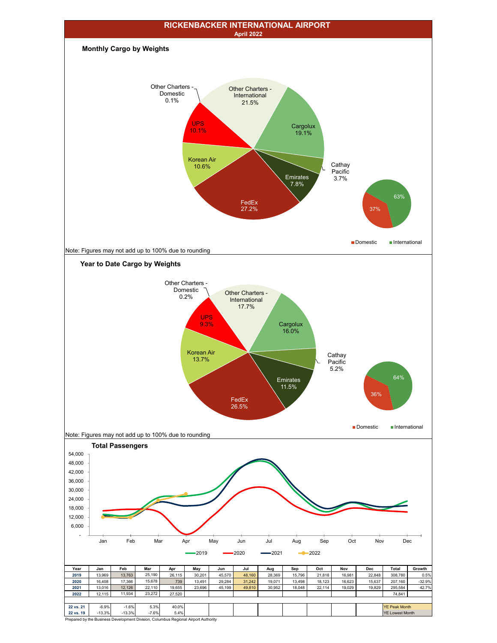

Prepared by the Business Development Division, Columbus Regional Airport Authority